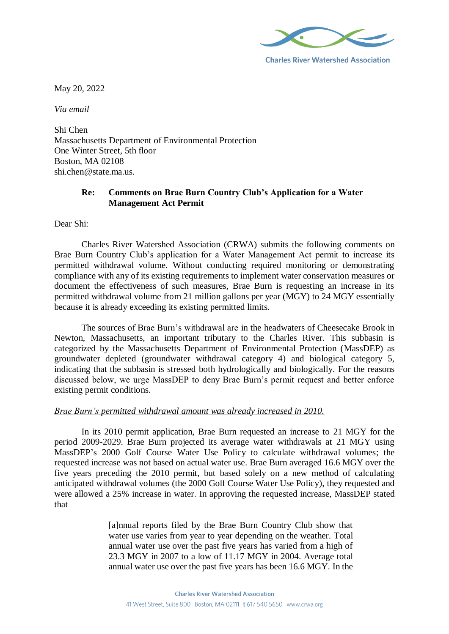

**Charles River Watershed Association** 

May 20, 2022

*Via email*

Shi Chen Massachusetts Department of Environmental Protection One Winter Street, 5th floor Boston, MA 02108 shi.chen@state.ma.us

# **Re: Comments on Brae Burn Country Club's Application for a Water Management Act Permit**

Dear Shi:

Charles River Watershed Association (CRWA) submits the following comments on Brae Burn Country Club's application for a Water Management Act permit to increase its permitted withdrawal volume. Without conducting required monitoring or demonstrating compliance with any of its existing requirements to implement water conservation measures or document the effectiveness of such measures, Brae Burn is requesting an increase in its permitted withdrawal volume from 21 million gallons per year (MGY) to 24 MGY essentially because it is already exceeding its existing permitted limits.

The sources of Brae Burn's withdrawal are in the headwaters of Cheesecake Brook in Newton, Massachusetts, an important tributary to the Charles River. This subbasin is categorized by the Massachusetts Department of Environmental Protection (MassDEP) as groundwater depleted (groundwater withdrawal category 4) and biological category 5, indicating that the subbasin is stressed both hydrologically and biologically. For the reasons discussed below, we urge MassDEP to deny Brae Burn's permit request and better enforce existing permit conditions.

#### *Brae Burn's permitted withdrawal amount was already increased in 2010.*

In its 2010 permit application, Brae Burn requested an increase to 21 MGY for the period 2009-2029. Brae Burn projected its average water withdrawals at 21 MGY using MassDEP's 2000 Golf Course Water Use Policy to calculate withdrawal volumes; the requested increase was not based on actual water use. Brae Burn averaged 16.6 MGY over the five years preceding the 2010 permit, but based solely on a new method of calculating anticipated withdrawal volumes (the 2000 Golf Course Water Use Policy), they requested and were allowed a 25% increase in water. In approving the requested increase, MassDEP stated that

> [a]nnual reports filed by the Brae Burn Country Club show that water use varies from year to year depending on the weather. Total annual water use over the past five years has varied from a high of 23.3 MGY in 2007 to a low of 11.17 MGY in 2004. Average total annual water use over the past five years has been 16.6 MGY. In the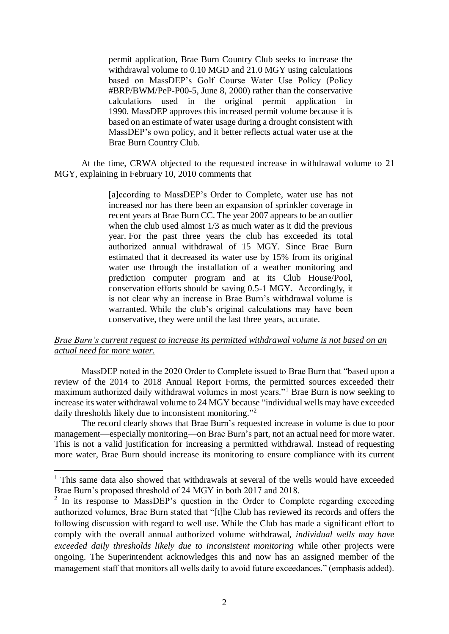permit application, Brae Burn Country Club seeks to increase the withdrawal volume to 0.10 MGD and 21.0 MGY using calculations based on MassDEP's Golf Course Water Use Policy (Policy #BRP/BWM/PeP-P00-5, June 8, 2000) rather than the conservative calculations used in the original permit application in 1990. MassDEP approves this increased permit volume because it is based on an estimate of water usage during a drought consistent with MassDEP's own policy, and it better reflects actual water use at the Brae Burn Country Club.

At the time, CRWA objected to the requested increase in withdrawal volume to 21 MGY, explaining in February 10, 2010 comments that

> [a]ccording to MassDEP's Order to Complete, water use has not increased nor has there been an expansion of sprinkler coverage in recent years at Brae Burn CC. The year 2007 appears to be an outlier when the club used almost 1/3 as much water as it did the previous year. For the past three years the club has exceeded its total authorized annual withdrawal of 15 MGY. Since Brae Burn estimated that it decreased its water use by 15% from its original water use through the installation of a weather monitoring and prediction computer program and at its Club House/Pool, conservation efforts should be saving 0.5-1 MGY. Accordingly, it is not clear why an increase in Brae Burn's withdrawal volume is warranted. While the club's original calculations may have been conservative, they were until the last three years, accurate.

#### *Brae Burn's current request to increase its permitted withdrawal volume is not based on an actual need for more water.*

MassDEP noted in the 2020 Order to Complete issued to Brae Burn that "based upon a review of the 2014 to 2018 Annual Report Forms, the permitted sources exceeded their maximum authorized daily withdrawal volumes in most years."<sup>1</sup> Brae Burn is now seeking to increase its water withdrawal volume to 24 MGY because "individual wells may have exceeded daily thresholds likely due to inconsistent monitoring."<sup>2</sup>

The record clearly shows that Brae Burn's requested increase in volume is due to poor management—especially monitoring—on Brae Burn's part, not an actual need for more water. This is not a valid justification for increasing a permitted withdrawal. Instead of requesting more water, Brae Burn should increase its monitoring to ensure compliance with its current

**.** 

<sup>&</sup>lt;sup>1</sup> This same data also showed that withdrawals at several of the wells would have exceeded Brae Burn's proposed threshold of 24 MGY in both 2017 and 2018.

<sup>&</sup>lt;sup>2</sup> In its response to MassDEP's question in the Order to Complete regarding exceeding authorized volumes, Brae Burn stated that "[t]he Club has reviewed its records and offers the following discussion with regard to well use. While the Club has made a significant effort to comply with the overall annual authorized volume withdrawal, *individual wells may have exceeded daily thresholds likely due to inconsistent monitoring* while other projects were ongoing. The Superintendent acknowledges this and now has an assigned member of the management staff that monitors all wells daily to avoid future exceedances." (emphasis added).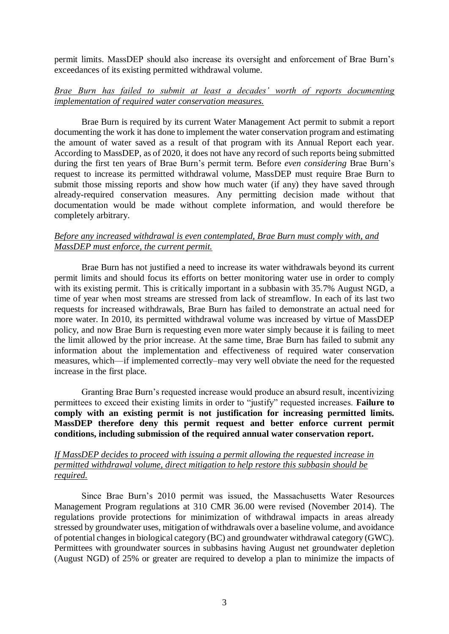permit limits. MassDEP should also increase its oversight and enforcement of Brae Burn's exceedances of its existing permitted withdrawal volume.

## *Brae Burn has failed to submit at least a decades' worth of reports documenting implementation of required water conservation measures.*

Brae Burn is required by its current Water Management Act permit to submit a report documenting the work it has done to implement the water conservation program and estimating the amount of water saved as a result of that program with its Annual Report each year. According to MassDEP, as of 2020, it does not have any record of such reports being submitted during the first ten years of Brae Burn's permit term. Before *even considering* Brae Burn's request to increase its permitted withdrawal volume, MassDEP must require Brae Burn to submit those missing reports and show how much water (if any) they have saved through already-required conservation measures. Any permitting decision made without that documentation would be made without complete information, and would therefore be completely arbitrary.

## *Before any increased withdrawal is even contemplated, Brae Burn must comply with, and MassDEP must enforce, the current permit.*

Brae Burn has not justified a need to increase its water withdrawals beyond its current permit limits and should focus its efforts on better monitoring water use in order to comply with its existing permit. This is critically important in a subbasin with 35.7% August NGD, a time of year when most streams are stressed from lack of streamflow. In each of its last two requests for increased withdrawals, Brae Burn has failed to demonstrate an actual need for more water. In 2010, its permitted withdrawal volume was increased by virtue of MassDEP policy, and now Brae Burn is requesting even more water simply because it is failing to meet the limit allowed by the prior increase. At the same time, Brae Burn has failed to submit any information about the implementation and effectiveness of required water conservation measures, which—if implemented correctly–may very well obviate the need for the requested increase in the first place.

Granting Brae Burn's requested increase would produce an absurd result, incentivizing permittees to exceed their existing limits in order to "justify" requested increases. **Failure to comply with an existing permit is not justification for increasing permitted limits. MassDEP therefore deny this permit request and better enforce current permit conditions, including submission of the required annual water conservation report.**

# *If MassDEP decides to proceed with issuing a permit allowing the requested increase in permitted withdrawal volume, direct mitigation to help restore this subbasin should be required.*

Since Brae Burn's 2010 permit was issued, the Massachusetts Water Resources Management Program regulations at 310 CMR 36.00 were revised (November 2014). The regulations provide protections for minimization of withdrawal impacts in areas already stressed by groundwater uses, mitigation of withdrawals over a baseline volume, and avoidance of potential changes in biological category (BC) and groundwater withdrawal category (GWC). Permittees with groundwater sources in subbasins having August net groundwater depletion (August NGD) of 25% or greater are required to develop a plan to minimize the impacts of